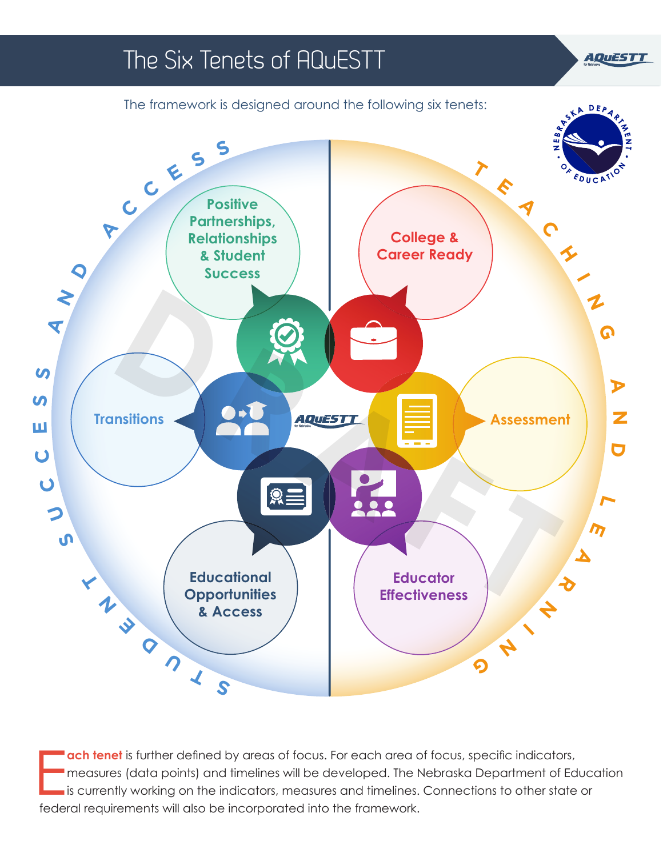

E **ach tenet** is further defined by areas of focus. For each area of focus, specific indicators, measures (data points) and timelines will be developed. The Nebraska Department of Education is currently working on the indicators, measures and timelines. Connections to other state or federal requirements will also be incorporated into the framework.